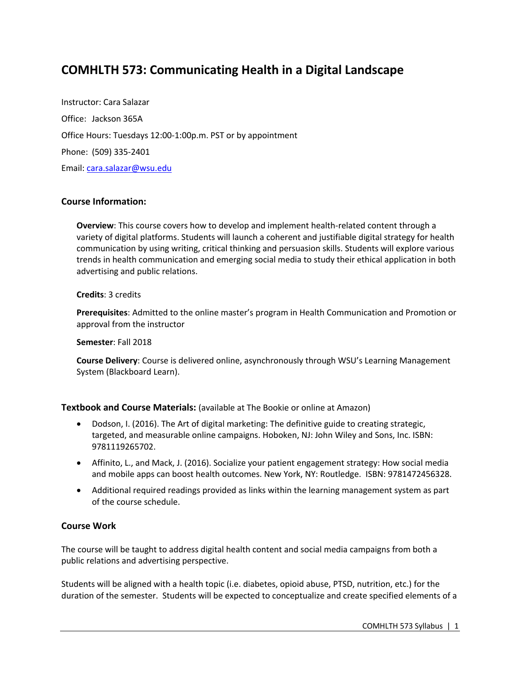# **COMHLTH 573: Communicating Health in a Digital Landscape**

Instructor: Cara Salazar Office: Jackson 365A Office Hours: Tuesdays 12:00-1:00p.m. PST or by appointment Phone: (509) 335-2401 Email: cara.salazar@wsu.edu

## **Course Information:**

**Overview**: This course covers how to develop and implement health-related content through a variety of digital platforms. Students will launch a coherent and justifiable digital strategy for health communication by using writing, critical thinking and persuasion skills. Students will explore various trends in health communication and emerging social media to study their ethical application in both advertising and public relations.

#### **Credits**: 3 credits

**Prerequisites**: Admitted to the online master's program in Health Communication and Promotion or approval from the instructor

**Semester**: Fall 2018

**Course Delivery**: Course is delivered online, asynchronously through WSU's Learning Management System (Blackboard Learn).

**Textbook and Course Materials:** (available at The Bookie or online at Amazon)

- Dodson, I. (2016). The Art of digital marketing: The definitive guide to creating strategic, targeted, and measurable online campaigns. Hoboken, NJ: John Wiley and Sons, Inc. ISBN: 9781119265702.
- Affinito, L., and Mack, J. (2016). Socialize your patient engagement strategy: How social media and mobile apps can boost health outcomes. New York, NY: Routledge. ISBN: 9781472456328.
- Additional required readings provided as links within the learning management system as part of the course schedule.

#### **Course Work**

The course will be taught to address digital health content and social media campaigns from both a public relations and advertising perspective.

Students will be aligned with a health topic (i.e. diabetes, opioid abuse, PTSD, nutrition, etc.) for the duration of the semester. Students will be expected to conceptualize and create specified elements of a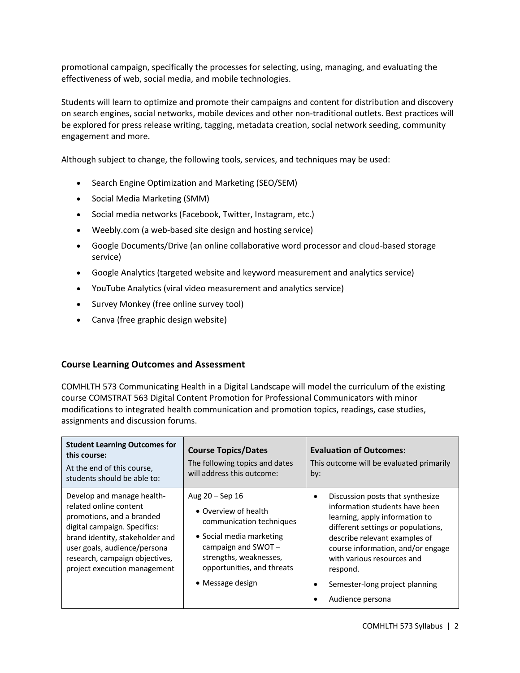promotional campaign, specifically the processes for selecting, using, managing, and evaluating the effectiveness of web, social media, and mobile technologies.

Students will learn to optimize and promote their campaigns and content for distribution and discovery on search engines, social networks, mobile devices and other non-traditional outlets. Best practices will be explored for press release writing, tagging, metadata creation, social network seeding, community engagement and more.

Although subject to change, the following tools, services, and techniques may be used:

- Search Engine Optimization and Marketing (SEO/SEM)
- Social Media Marketing (SMM)
- Social media networks (Facebook, Twitter, Instagram, etc.)
- Weebly.com (a web-based site design and hosting service)
- Google Documents/Drive (an online collaborative word processor and cloud-based storage service)
- Google Analytics (targeted website and keyword measurement and analytics service)
- YouTube Analytics (viral video measurement and analytics service)
- Survey Monkey (free online survey tool)
- Canva (free graphic design website)

#### **Course Learning Outcomes and Assessment**

COMHLTH 573 Communicating Health in a Digital Landscape will model the curriculum of the existing course COMSTRAT 563 Digital Content Promotion for Professional Communicators with minor modifications to integrated health communication and promotion topics, readings, case studies, assignments and discussion forums.

| <b>Student Learning Outcomes for</b><br>this course:<br>At the end of this course,<br>students should be able to:                                                                                                                                      | <b>Course Topics/Dates</b><br>The following topics and dates<br>will address this outcome:                                                                                                             | <b>Evaluation of Outcomes:</b><br>This outcome will be evaluated primarily<br>by:                                                                                                                                                                                                                                |
|--------------------------------------------------------------------------------------------------------------------------------------------------------------------------------------------------------------------------------------------------------|--------------------------------------------------------------------------------------------------------------------------------------------------------------------------------------------------------|------------------------------------------------------------------------------------------------------------------------------------------------------------------------------------------------------------------------------------------------------------------------------------------------------------------|
| Develop and manage health-<br>related online content<br>promotions, and a branded<br>digital campaign. Specifics:<br>brand identity, stakeholder and<br>user goals, audience/persona<br>research, campaign objectives,<br>project execution management | Aug $20 -$ Sep 16<br>• Overview of health<br>communication techniques<br>• Social media marketing<br>campaign and $SWOT -$<br>strengths, weaknesses,<br>opportunities, and threats<br>• Message design | Discussion posts that synthesize<br>information students have been<br>learning, apply information to<br>different settings or populations,<br>describe relevant examples of<br>course information, and/or engage<br>with various resources and<br>respond.<br>Semester-long project planning<br>Audience persona |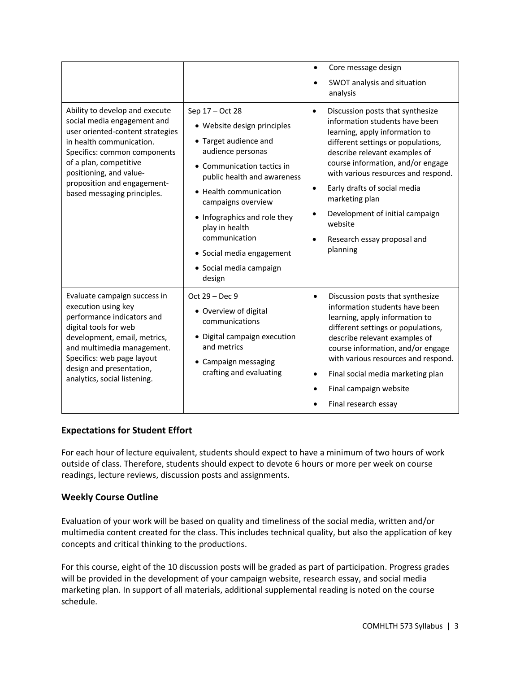|                                                                                                                                                                                                                                                                                  |                                                                                                                                                                                                                                                                                                                                                | Core message design                                                                                                                                                                                                                                                                                                                                                                                                          |
|----------------------------------------------------------------------------------------------------------------------------------------------------------------------------------------------------------------------------------------------------------------------------------|------------------------------------------------------------------------------------------------------------------------------------------------------------------------------------------------------------------------------------------------------------------------------------------------------------------------------------------------|------------------------------------------------------------------------------------------------------------------------------------------------------------------------------------------------------------------------------------------------------------------------------------------------------------------------------------------------------------------------------------------------------------------------------|
|                                                                                                                                                                                                                                                                                  |                                                                                                                                                                                                                                                                                                                                                | SWOT analysis and situation<br>analysis                                                                                                                                                                                                                                                                                                                                                                                      |
| Ability to develop and execute<br>social media engagement and<br>user oriented-content strategies<br>in health communication.<br>Specifics: common components<br>of a plan, competitive<br>positioning, and value-<br>proposition and engagement-<br>based messaging principles. | Sep 17 - Oct 28<br>• Website design principles<br>• Target audience and<br>audience personas<br>• Communication tactics in<br>public health and awareness<br>• Health communication<br>campaigns overview<br>• Infographics and role they<br>play in health<br>communication<br>• Social media engagement<br>· Social media campaign<br>design | Discussion posts that synthesize<br>$\bullet$<br>information students have been<br>learning, apply information to<br>different settings or populations,<br>describe relevant examples of<br>course information, and/or engage<br>with various resources and respond.<br>Early drafts of social media<br>$\bullet$<br>marketing plan<br>Development of initial campaign<br>website<br>Research essay proposal and<br>planning |
| Evaluate campaign success in<br>execution using key<br>performance indicators and<br>digital tools for web<br>development, email, metrics,<br>and multimedia management.<br>Specifics: web page layout<br>design and presentation,<br>analytics, social listening.               | Oct $29 - Dec 9$<br>• Overview of digital<br>communications<br>• Digital campaign execution<br>and metrics<br>• Campaign messaging<br>crafting and evaluating                                                                                                                                                                                  | Discussion posts that synthesize<br>$\bullet$<br>information students have been<br>learning, apply information to<br>different settings or populations,<br>describe relevant examples of<br>course information, and/or engage<br>with various resources and respond.<br>Final social media marketing plan<br>٠<br>Final campaign website<br>Final research essay                                                             |

# **Expectations for Student Effort**

For each hour of lecture equivalent, students should expect to have a minimum of two hours of work outside of class. Therefore, students should expect to devote 6 hours or more per week on course readings, lecture reviews, discussion posts and assignments.

# **Weekly Course Outline**

Evaluation of your work will be based on quality and timeliness of the social media, written and/or multimedia content created for the class. This includes technical quality, but also the application of key concepts and critical thinking to the productions.

For this course, eight of the 10 discussion posts will be graded as part of participation. Progress grades will be provided in the development of your campaign website, research essay, and social media marketing plan. In support of all materials, additional supplemental reading is noted on the course schedule.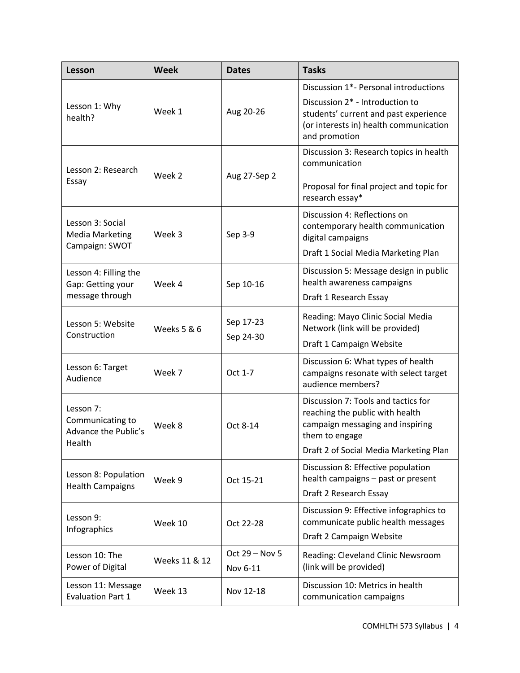| Lesson                                                          | <b>Week</b>   | <b>Dates</b>               | <b>Tasks</b>                                                                                                                                                                 |  |
|-----------------------------------------------------------------|---------------|----------------------------|------------------------------------------------------------------------------------------------------------------------------------------------------------------------------|--|
| Lesson 1: Why<br>health?                                        | Week 1        | Aug 20-26                  | Discussion 1*- Personal introductions<br>Discussion 2* - Introduction to<br>students' current and past experience<br>(or interests in) health communication<br>and promotion |  |
| Lesson 2: Research<br>Essay                                     | Week 2        | Aug 27-Sep 2               | Discussion 3: Research topics in health<br>communication<br>Proposal for final project and topic for<br>research essay*                                                      |  |
| Lesson 3: Social<br><b>Media Marketing</b><br>Campaign: SWOT    | Week 3        | Sep 3-9                    | Discussion 4: Reflections on<br>contemporary health communication<br>digital campaigns<br>Draft 1 Social Media Marketing Plan                                                |  |
| Lesson 4: Filling the<br>Gap: Getting your<br>message through   | Week 4        | Sep 10-16                  | Discussion 5: Message design in public<br>health awareness campaigns<br>Draft 1 Research Essay                                                                               |  |
| Lesson 5: Website<br>Construction                               | Weeks 5 & 6   | Sep 17-23<br>Sep 24-30     | Reading: Mayo Clinic Social Media<br>Network (link will be provided)<br>Draft 1 Campaign Website                                                                             |  |
| Lesson 6: Target<br>Audience                                    | Week 7        | Oct 1-7                    | Discussion 6: What types of health<br>campaigns resonate with select target<br>audience members?                                                                             |  |
| Lesson 7:<br>Communicating to<br>Advance the Public's<br>Health | Week 8        | Oct 8-14                   | Discussion 7: Tools and tactics for<br>reaching the public with health<br>campaign messaging and inspiring<br>them to engage<br>Draft 2 of Social Media Marketing Plan       |  |
| Lesson 8: Population<br><b>Health Campaigns</b>                 | Week 9        | Oct 15-21                  | Discussion 8: Effective population<br>health campaigns - past or present<br>Draft 2 Research Essay                                                                           |  |
| Lesson 9:<br>Infographics                                       | Week 10       | Oct 22-28                  | Discussion 9: Effective infographics to<br>communicate public health messages<br>Draft 2 Campaign Website                                                                    |  |
| Lesson 10: The<br>Power of Digital                              | Weeks 11 & 12 | Oct 29 - Nov 5<br>Nov 6-11 | Reading: Cleveland Clinic Newsroom<br>(link will be provided)                                                                                                                |  |
| Lesson 11: Message<br><b>Evaluation Part 1</b>                  | Week 13       | Nov 12-18                  | Discussion 10: Metrics in health<br>communication campaigns                                                                                                                  |  |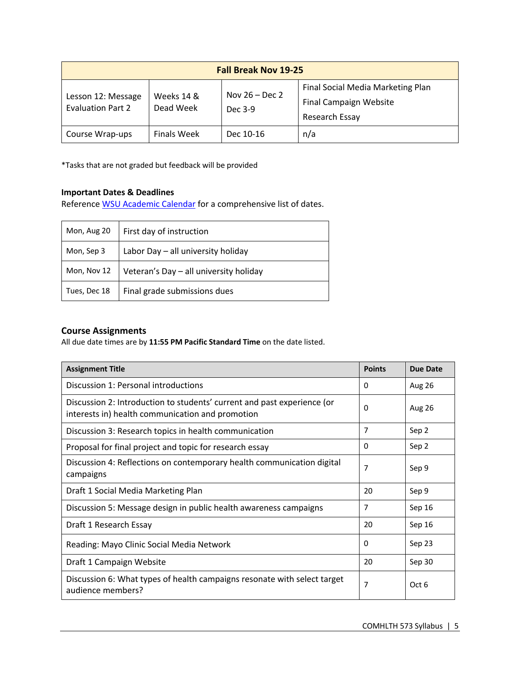| <b>Fall Break Nov 19-25</b>                    |                         |                             |                                                                                      |
|------------------------------------------------|-------------------------|-----------------------------|--------------------------------------------------------------------------------------|
| Lesson 12: Message<br><b>Evaluation Part 2</b> | Weeks 14 &<br>Dead Week | Nov $26 - Dec 2$<br>Dec 3-9 | Final Social Media Marketing Plan<br><b>Final Campaign Website</b><br>Research Essay |
| Course Wrap-ups                                | <b>Finals Week</b>      | Dec 10-16                   | n/a                                                                                  |

\*Tasks that are not graded but feedback will be provided

## **Important Dates & Deadlines**

Reference WSU Academic Calendar for a comprehensive list of dates.

| Mon, Aug 20  | First day of instruction               |  |
|--------------|----------------------------------------|--|
| Mon, Sep 3   | Labor Day - all university holiday     |  |
| Mon, Nov 12  | Veteran's Day - all university holiday |  |
| Tues, Dec 18 | Final grade submissions dues           |  |

# **Course Assignments**

All due date times are by **11:55 PM Pacific Standard Time** on the date listed.

| <b>Assignment Title</b>                                                                                                     | <b>Points</b> | Due Date      |
|-----------------------------------------------------------------------------------------------------------------------------|---------------|---------------|
| Discussion 1: Personal introductions                                                                                        | 0             | <b>Aug 26</b> |
| Discussion 2: Introduction to students' current and past experience (or<br>interests in) health communication and promotion |               | Aug 26        |
| Discussion 3: Research topics in health communication                                                                       | 7             | Sep 2         |
| Proposal for final project and topic for research essay                                                                     | 0             | Sep 2         |
| Discussion 4: Reflections on contemporary health communication digital<br>campaigns                                         | 7             | Sep 9         |
| Draft 1 Social Media Marketing Plan                                                                                         | 20            | Sep 9         |
| Discussion 5: Message design in public health awareness campaigns                                                           |               | Sep 16        |
| Draft 1 Research Essay                                                                                                      | 20            | Sep 16        |
| Reading: Mayo Clinic Social Media Network                                                                                   |               | Sep 23        |
| Draft 1 Campaign Website                                                                                                    | 20            | Sep 30        |
| Discussion 6: What types of health campaigns resonate with select target<br>audience members?                               | 7             | Oct 6         |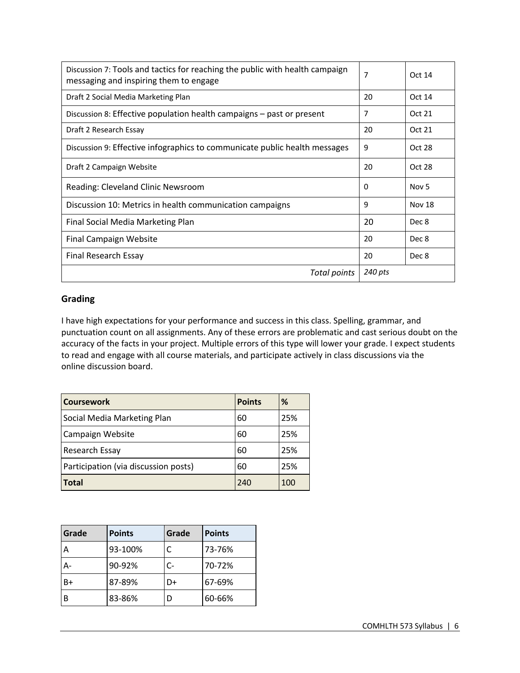| Discussion 7: Tools and tactics for reaching the public with health campaign<br>messaging and inspiring them to engage | 7       | Oct 14           |
|------------------------------------------------------------------------------------------------------------------------|---------|------------------|
| Draft 2 Social Media Marketing Plan                                                                                    | 20      | Oct 14           |
| Discussion 8: Effective population health campaigns – past or present                                                  | 7       | Oct 21           |
| Draft 2 Research Essay                                                                                                 | 20      | Oct 21           |
| Discussion 9: Effective infographics to communicate public health messages                                             | 9       | Oct 28           |
| Draft 2 Campaign Website                                                                                               | 20      | Oct 28           |
| Reading: Cleveland Clinic Newsroom                                                                                     | 0       | Nov <sub>5</sub> |
| Discussion 10: Metrics in health communication campaigns                                                               | 9       | <b>Nov 18</b>    |
| Final Social Media Marketing Plan                                                                                      | 20      | Dec 8            |
| <b>Final Campaign Website</b>                                                                                          | 20      | Dec 8            |
| Final Research Essay                                                                                                   | 20      | Dec 8            |
| Total points                                                                                                           | 240 pts |                  |

# **Grading**

I have high expectations for your performance and success in this class. Spelling, grammar, and punctuation count on all assignments. Any of these errors are problematic and cast serious doubt on the accuracy of the facts in your project. Multiple errors of this type will lower your grade. I expect students to read and engage with all course materials, and participate actively in class discussions via the online discussion board.

| <b>Coursework</b>                    | <b>Points</b> | %   |
|--------------------------------------|---------------|-----|
| Social Media Marketing Plan          | 60            | 25% |
| Campaign Website                     | 60            | 25% |
| Research Essay                       | 60            | 25% |
| Participation (via discussion posts) | 60            | 25% |
| <b>Total</b>                         | 240           | 100 |

| Grade | <b>Points</b> | Grade | <b>Points</b> |
|-------|---------------|-------|---------------|
| A     | 93-100%       |       | 73-76%        |
| $A-$  | 90-92%        | $C-$  | 70-72%        |
| B+    | 87-89%        | D+    | 67-69%        |
| B     | 83-86%        |       | 60-66%        |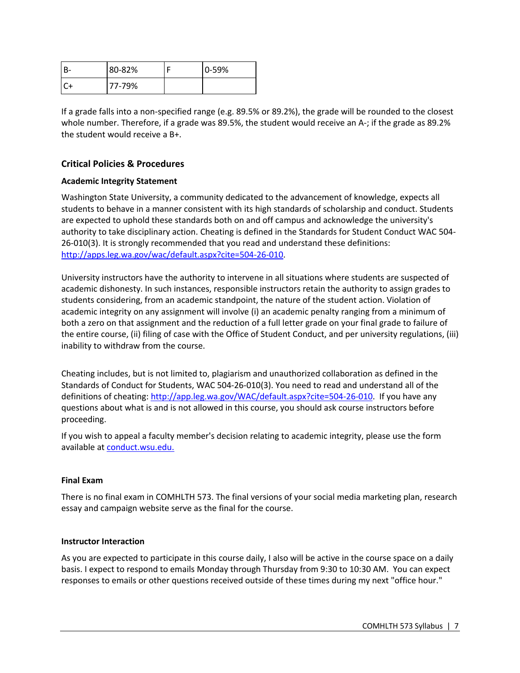| 80-82% | 0-59% |
|--------|-------|
| 77-79% |       |

If a grade falls into a non-specified range (e.g. 89.5% or 89.2%), the grade will be rounded to the closest whole number. Therefore, if a grade was 89.5%, the student would receive an A-; if the grade as 89.2% the student would receive a B+.

# **Critical Policies & Procedures**

## **Academic Integrity Statement**

Washington State University, a community dedicated to the advancement of knowledge, expects all students to behave in a manner consistent with its high standards of scholarship and conduct. Students are expected to uphold these standards both on and off campus and acknowledge the university's authority to take disciplinary action. Cheating is defined in the Standards for Student Conduct WAC 504- 26-010(3). It is strongly recommended that you read and understand these definitions: http://apps.leg.wa.gov/wac/default.aspx?cite=504-26-010.

University instructors have the authority to intervene in all situations where students are suspected of academic dishonesty. In such instances, responsible instructors retain the authority to assign grades to students considering, from an academic standpoint, the nature of the student action. Violation of academic integrity on any assignment will involve (i) an academic penalty ranging from a minimum of both a zero on that assignment and the reduction of a full letter grade on your final grade to failure of the entire course, (ii) filing of case with the Office of Student Conduct, and per university regulations, (iii) inability to withdraw from the course.

Cheating includes, but is not limited to, plagiarism and unauthorized collaboration as defined in the Standards of Conduct for Students, WAC 504-26-010(3). You need to read and understand all of the definitions of cheating: http://app.leg.wa.gov/WAC/default.aspx?cite=504-26-010. If you have any questions about what is and is not allowed in this course, you should ask course instructors before proceeding.

If you wish to appeal a faculty member's decision relating to academic integrity, please use the form available at conduct.wsu.edu.

#### **Final Exam**

There is no final exam in COMHLTH 573. The final versions of your social media marketing plan, research essay and campaign website serve as the final for the course.

#### **Instructor Interaction**

As you are expected to participate in this course daily, I also will be active in the course space on a daily basis. I expect to respond to emails Monday through Thursday from 9:30 to 10:30 AM. You can expect responses to emails or other questions received outside of these times during my next "office hour."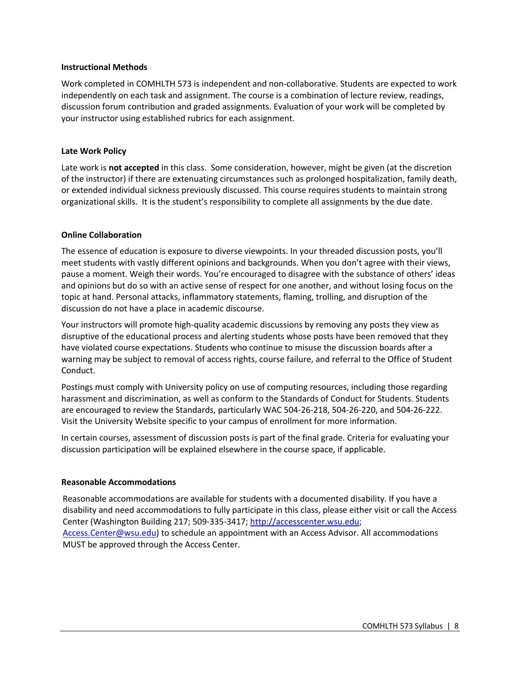#### **Instructional Methods**

Work completed in COMHLTH 573 is independent and non-collaborative. Students are expected to work independently on each task and assignment. The course is a combination of lecture review, readings, discussion forum contribution and graded assignments. Evaluation of your work will be completed by your instructor using established rubrics for each assignment.

#### **Late Work Policy**

Late work is **not accepted** in this class.Some consideration, however, might be given (at the discretion of the instructor) if there are extenuating circumstances such as prolonged hospitalization, family death, or extended individual sickness previously discussed. This course requires students to maintain strong organizational skills. It is the student's responsibility to complete all assignments by the due date.

#### **Online Collaboration**

The essence of education is exposure to diverse viewpoints. In your threaded discussion posts, you'll meet students with vastly different opinions and backgrounds. When you don't agree with their views, pause a moment. Weigh their words. You're encouraged to disagree with the substance of others' ideas and opinions but do so with an active sense of respect for one another, and without losing focus on the topic at hand. Personal attacks, inflammatory statements, flaming, trolling, and disruption of the discussion do not have a place in academic discourse.

Your instructors will promote high-quality academic discussions by removing any posts they view as disruptive of the educational process and alerting students whose posts have been removed that they have violated course expectations. Students who continue to misuse the discussion boards after a warning may be subject to removal of access rights, course failure, and referral to the Office of Student Conduct.

Postings must comply with University policy on use of computing resources, including those regarding harassment and discrimination, as well as conform to the Standards of Conduct for Students. Students are encouraged to review the Standards, particularly WAC 504-26-218, 504-26-220, and 504-26-222. Visit the University Website specific to your campus of enrollment for more information.

In certain courses, assessment of discussion posts is part of the final grade. Criteria for evaluating your discussion participation will be explained elsewhere in the course space, if applicable.

#### **Reasonable Accommodations**

Reasonable accommodations are available for students with a documented disability. If you have a disability and need accommodations to fully participate in this class, please either visit or call the Access Center (Washington Building 217; 509-335-3417; http://accesscenter.wsu.edu; Access.Center@wsu.edu) to schedule an appointment with an Access Advisor. All accommodations MUST be approved through the Access Center.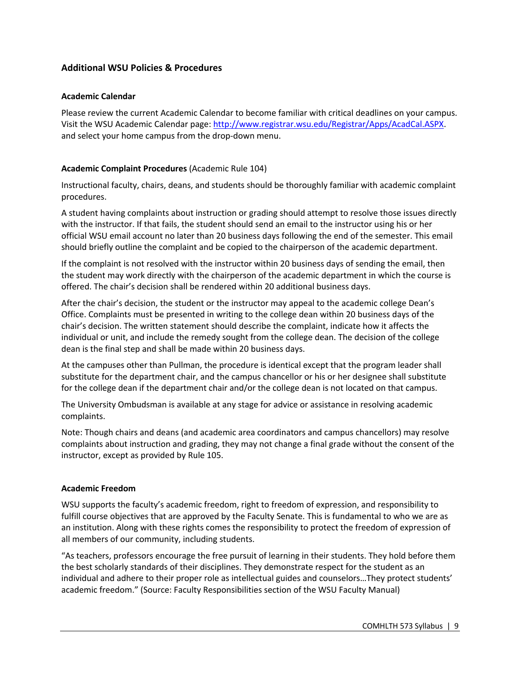# **Additional WSU Policies & Procedures**

#### **Academic Calendar**

Please review the current Academic Calendar to become familiar with critical deadlines on your campus. Visit the WSU Academic Calendar page: http://www.registrar.wsu.edu/Registrar/Apps/AcadCal.ASPX. and select your home campus from the drop-down menu.

## **Academic Complaint Procedures** (Academic Rule 104)

Instructional faculty, chairs, deans, and students should be thoroughly familiar with academic complaint procedures.

A student having complaints about instruction or grading should attempt to resolve those issues directly with the instructor. If that fails, the student should send an email to the instructor using his or her official WSU email account no later than 20 business days following the end of the semester. This email should briefly outline the complaint and be copied to the chairperson of the academic department.

If the complaint is not resolved with the instructor within 20 business days of sending the email, then the student may work directly with the chairperson of the academic department in which the course is offered. The chair's decision shall be rendered within 20 additional business days.

After the chair's decision, the student or the instructor may appeal to the academic college Dean's Office. Complaints must be presented in writing to the college dean within 20 business days of the chair's decision. The written statement should describe the complaint, indicate how it affects the individual or unit, and include the remedy sought from the college dean. The decision of the college dean is the final step and shall be made within 20 business days.

At the campuses other than Pullman, the procedure is identical except that the program leader shall substitute for the department chair, and the campus chancellor or his or her designee shall substitute for the college dean if the department chair and/or the college dean is not located on that campus.

The University Ombudsman is available at any stage for advice or assistance in resolving academic complaints.

Note: Though chairs and deans (and academic area coordinators and campus chancellors) may resolve complaints about instruction and grading, they may not change a final grade without the consent of the instructor, except as provided by Rule 105.

#### **Academic Freedom**

WSU supports the faculty's academic freedom, right to freedom of expression, and responsibility to fulfill course objectives that are approved by the Faculty Senate. This is fundamental to who we are as an institution. Along with these rights comes the responsibility to protect the freedom of expression of all members of our community, including students.

"As teachers, professors encourage the free pursuit of learning in their students. They hold before them the best scholarly standards of their disciplines. They demonstrate respect for the student as an individual and adhere to their proper role as intellectual guides and counselors…They protect students' academic freedom." (Source: Faculty Responsibilities section of the WSU Faculty Manual)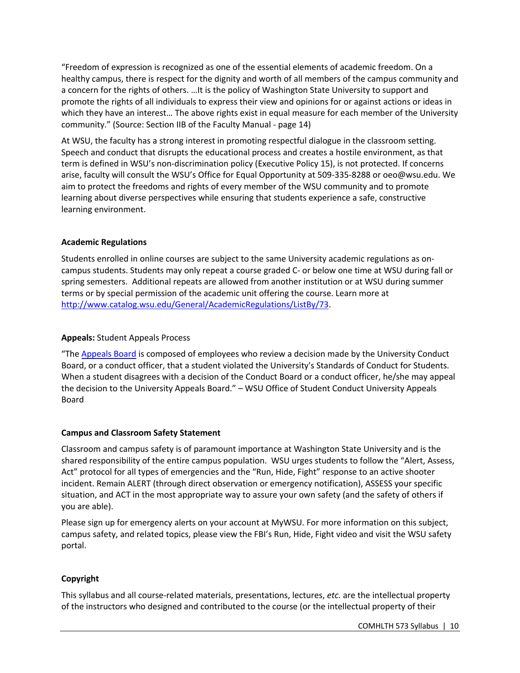"Freedom of expression is recognized as one of the essential elements of academic freedom. On a healthy campus, there is respect for the dignity and worth of all members of the campus community and a concern for the rights of others. …It is the policy of Washington State University to support and promote the rights of all individuals to express their view and opinions for or against actions or ideas in which they have an interest… The above rights exist in equal measure for each member of the University community." (Source: Section IIB of the Faculty Manual - page 14)

At WSU, the faculty has a strong interest in promoting respectful dialogue in the classroom setting. Speech and conduct that disrupts the educational process and creates a hostile environment, as that term is defined in WSU's non-discrimination policy (Executive Policy 15), is not protected. If concerns arise, faculty will consult the WSU's Office for Equal Opportunity at 509-335-8288 or oeo@wsu.edu. We aim to protect the freedoms and rights of every member of the WSU community and to promote learning about diverse perspectives while ensuring that students experience a safe, constructive learning environment.

## **Academic Regulations**

Students enrolled in online courses are subject to the same University academic regulations as oncampus students. Students may only repeat a course graded C- or below one time at WSU during fall or spring semesters. Additional repeats are allowed from another institution or at WSU during summer terms or by special permission of the academic unit offering the course. Learn more at http://www.catalog.wsu.edu/General/AcademicRegulations/ListBy/73.

## **Appeals:** Student Appeals Process

"The Appeals Board is composed of employees who review a decision made by the University Conduct Board, or a conduct officer, that a student violated the University's Standards of Conduct for Students. When a student disagrees with a decision of the Conduct Board or a conduct officer, he/she may appeal the decision to the University Appeals Board." – WSU Office of Student Conduct University Appeals Board

# **Campus and Classroom Safety Statement**

Classroom and campus safety is of paramount importance at Washington State University and is the shared responsibility of the entire campus population. WSU urges students to follow the "Alert, Assess, Act" protocol for all types of emergencies and the "Run, Hide, Fight" response to an active shooter incident. Remain ALERT (through direct observation or emergency notification), ASSESS your specific situation, and ACT in the most appropriate way to assure your own safety (and the safety of others if you are able).

Please sign up for emergency alerts on your account at MyWSU. For more information on this subject, campus safety, and related topics, please view the FBI's Run, Hide, Fight video and visit the WSU safety portal.

# **Copyright**

This syllabus and all course-related materials, presentations, lectures, *etc.* are the intellectual property of the instructors who designed and contributed to the course (or the intellectual property of their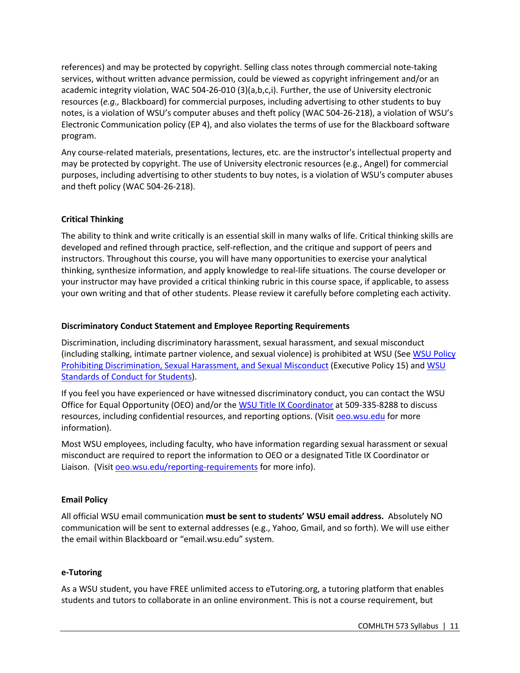references) and may be protected by copyright. Selling class notes through commercial note-taking services, without written advance permission, could be viewed as copyright infringement and/or an academic integrity violation, WAC 504-26-010 (3)(a,b,c,i). Further, the use of University electronic resources (*e.g.,* Blackboard) for commercial purposes, including advertising to other students to buy notes, is a violation of WSU's computer abuses and theft policy (WAC 504-26-218), a violation of WSU's Electronic Communication policy (EP 4), and also violates the terms of use for the Blackboard software program.

Any course-related materials, presentations, lectures, etc. are the instructor's intellectual property and may be protected by copyright. The use of University electronic resources (e.g., Angel) for commercial purposes, including advertising to other students to buy notes, is a violation of WSU's computer abuses and theft policy (WAC 504-26-218).

# **Critical Thinking**

The ability to think and write critically is an essential skill in many walks of life. Critical thinking skills are developed and refined through practice, self-reflection, and the critique and support of peers and instructors. Throughout this course, you will have many opportunities to exercise your analytical thinking, synthesize information, and apply knowledge to real-life situations. The course developer or your instructor may have provided a critical thinking rubric in this course space, if applicable, to assess your own writing and that of other students. Please review it carefully before completing each activity.

#### **Discriminatory Conduct Statement and Employee Reporting Requirements**

Discrimination, including discriminatory harassment, sexual harassment, and sexual misconduct (including stalking, intimate partner violence, and sexual violence) is prohibited at WSU (See WSU Policy Prohibiting Discrimination, Sexual Harassment, and Sexual Misconduct (Executive Policy 15) and WSU Standards of Conduct for Students).

If you feel you have experienced or have witnessed discriminatory conduct, you can contact the WSU Office for Equal Opportunity (OEO) and/or the WSU Title IX Coordinator at 509-335-8288 to discuss resources, including confidential resources, and reporting options. (Visit oeo.wsu.edu for more information).

Most WSU employees, including faculty, who have information regarding sexual harassment or sexual misconduct are required to report the information to OEO or a designated Title IX Coordinator or Liaison. (Visit oeo.wsu.edu/reporting-requirements for more info).

# **Email Policy**

All official WSU email communication **must be sent to students' WSU email address.** Absolutely NO communication will be sent to external addresses (e.g., Yahoo, Gmail, and so forth). We will use either the email within Blackboard or "email.wsu.edu" system.

#### **e-Tutoring**

As a WSU student, you have FREE unlimited access to eTutoring.org, a tutoring platform that enables students and tutors to collaborate in an online environment. This is not a course requirement, but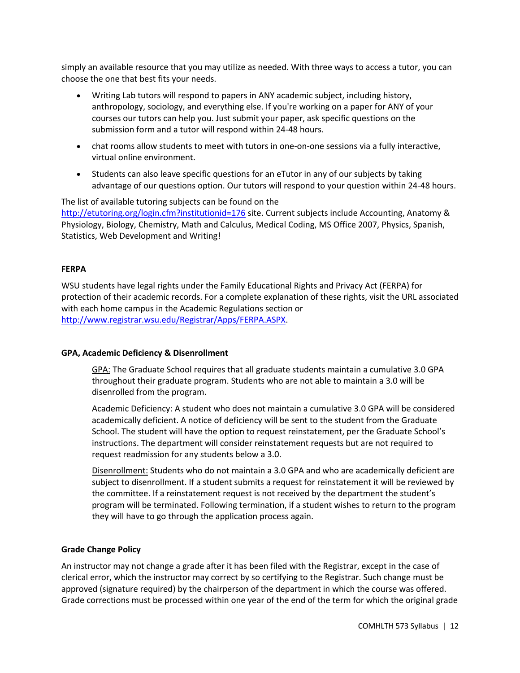simply an available resource that you may utilize as needed. With three ways to access a tutor, you can choose the one that best fits your needs.

- Writing Lab tutors will respond to papers in ANY academic subject, including history, anthropology, sociology, and everything else. If you're working on a paper for ANY of your courses our tutors can help you. Just submit your paper, ask specific questions on the submission form and a tutor will respond within 24-48 hours.
- chat rooms allow students to meet with tutors in one-on-one sessions via a fully interactive, virtual online environment.
- Students can also leave specific questions for an eTutor in any of our subjects by taking advantage of our questions option. Our tutors will respond to your question within 24-48 hours.

The list of available tutoring subjects can be found on the http://etutoring.org/login.cfm?institutionid=176 site. Current subjects include Accounting, Anatomy & Physiology, Biology, Chemistry, Math and Calculus, Medical Coding, MS Office 2007, Physics, Spanish, Statistics, Web Development and Writing!

## **FERPA**

WSU students have legal rights under the Family Educational Rights and Privacy Act (FERPA) for protection of their academic records. For a complete explanation of these rights, visit the URL associated with each home campus in the Academic Regulations section or http://www.registrar.wsu.edu/Registrar/Apps/FERPA.ASPX.

#### **GPA, Academic Deficiency & Disenrollment**

GPA: The Graduate School requires that all graduate students maintain a cumulative 3.0 GPA throughout their graduate program. Students who are not able to maintain a 3.0 will be disenrolled from the program.

Academic Deficiency: A student who does not maintain a cumulative 3.0 GPA will be considered academically deficient. A notice of deficiency will be sent to the student from the Graduate School. The student will have the option to request reinstatement, per the Graduate School's instructions. The department will consider reinstatement requests but are not required to request readmission for any students below a 3.0.

Disenrollment: Students who do not maintain a 3.0 GPA and who are academically deficient are subject to disenrollment. If a student submits a request for reinstatement it will be reviewed by the committee. If a reinstatement request is not received by the department the student's program will be terminated. Following termination, if a student wishes to return to the program they will have to go through the application process again.

#### **Grade Change Policy**

An instructor may not change a grade after it has been filed with the Registrar, except in the case of clerical error, which the instructor may correct by so certifying to the Registrar. Such change must be approved (signature required) by the chairperson of the department in which the course was offered. Grade corrections must be processed within one year of the end of the term for which the original grade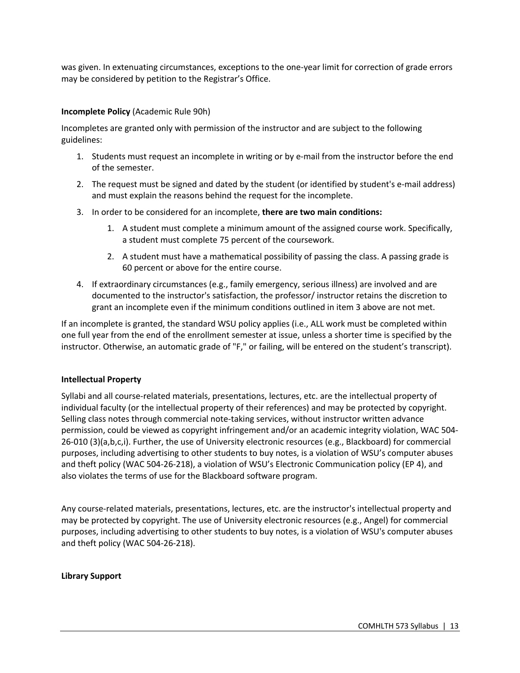was given. In extenuating circumstances, exceptions to the one-year limit for correction of grade errors may be considered by petition to the Registrar's Office.

#### **Incomplete Policy** (Academic Rule 90h)

Incompletes are granted only with permission of the instructor and are subject to the following guidelines:

- 1. Students must request an incomplete in writing or by e-mail from the instructor before the end of the semester.
- 2. The request must be signed and dated by the student (or identified by student's e-mail address) and must explain the reasons behind the request for the incomplete.
- 3. In order to be considered for an incomplete, **there are two main conditions:**
	- 1. A student must complete a minimum amount of the assigned course work. Specifically, a student must complete 75 percent of the coursework.
	- 2. A student must have a mathematical possibility of passing the class. A passing grade is 60 percent or above for the entire course.
- 4. If extraordinary circumstances (e.g., family emergency, serious illness) are involved and are documented to the instructor's satisfaction, the professor/ instructor retains the discretion to grant an incomplete even if the minimum conditions outlined in item 3 above are not met.

If an incomplete is granted, the standard WSU policy applies (i.e., ALL work must be completed within one full year from the end of the enrollment semester at issue, unless a shorter time is specified by the instructor. Otherwise, an automatic grade of "F," or failing, will be entered on the student's transcript).

#### **Intellectual Property**

Syllabi and all course-related materials, presentations, lectures, etc. are the intellectual property of individual faculty (or the intellectual property of their references) and may be protected by copyright. Selling class notes through commercial note-taking services, without instructor written advance permission, could be viewed as copyright infringement and/or an academic integrity violation, WAC 504- 26-010 (3)(a,b,c,i). Further, the use of University electronic resources (e.g., Blackboard) for commercial purposes, including advertising to other students to buy notes, is a violation of WSU's computer abuses and theft policy (WAC 504-26-218), a violation of WSU's Electronic Communication policy (EP 4), and also violates the terms of use for the Blackboard software program.

Any course-related materials, presentations, lectures, etc. are the instructor's intellectual property and may be protected by copyright. The use of University electronic resources (e.g., Angel) for commercial purposes, including advertising to other students to buy notes, is a violation of WSU's computer abuses and theft policy (WAC 504-26-218).

#### **Library Support**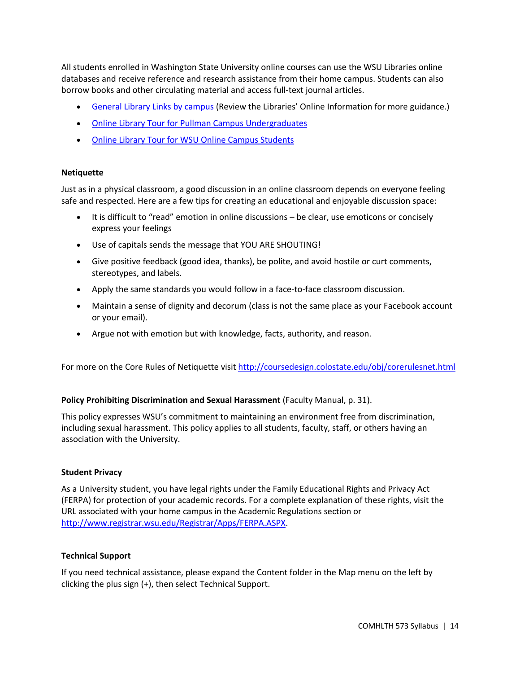All students enrolled in Washington State University online courses can use the WSU Libraries online databases and receive reference and research assistance from their home campus. Students can also borrow books and other circulating material and access full-text journal articles.

- General Library Links by campus (Review the Libraries' Online Information for more guidance.)
- Online Library Tour for Pullman Campus Undergraduates
- Online Library Tour for WSU Online Campus Students

#### **Netiquette**

Just as in a physical classroom, a good discussion in an online classroom depends on everyone feeling safe and respected. Here are a few tips for creating an educational and enjoyable discussion space:

- It is difficult to "read" emotion in online discussions be clear, use emoticons or concisely express your feelings
- Use of capitals sends the message that YOU ARE SHOUTING!
- Give positive feedback (good idea, thanks), be polite, and avoid hostile or curt comments, stereotypes, and labels.
- Apply the same standards you would follow in a face-to-face classroom discussion.
- Maintain a sense of dignity and decorum (class is not the same place as your Facebook account or your email).
- Argue not with emotion but with knowledge, facts, authority, and reason.

For more on the Core Rules of Netiquette visit http://coursedesign.colostate.edu/obj/corerulesnet.html

#### **Policy Prohibiting Discrimination and Sexual Harassment** (Faculty Manual, p. 31).

This policy expresses WSU's commitment to maintaining an environment free from discrimination, including sexual harassment. This policy applies to all students, faculty, staff, or others having an association with the University.

#### **Student Privacy**

As a University student, you have legal rights under the Family Educational Rights and Privacy Act (FERPA) for protection of your academic records. For a complete explanation of these rights, visit the URL associated with your home campus in the Academic Regulations section or http://www.registrar.wsu.edu/Registrar/Apps/FERPA.ASPX.

#### **Technical Support**

If you need technical assistance, please expand the Content folder in the Map menu on the left by clicking the plus sign (+), then select Technical Support.